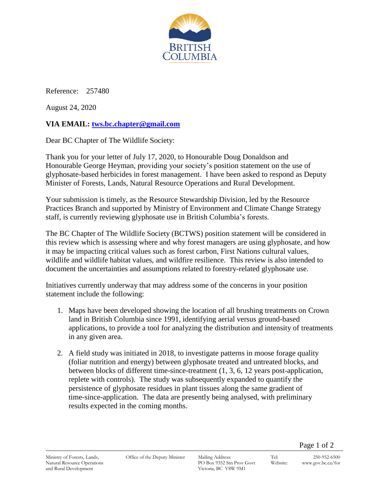

Reference: 257480

August 24, 2020

## **VIA EMAIL: [tws.bc.chapter@gmail.com](mailto:tws.bc.chapter@gmail.com)**

Dear BC Chapter of The Wildlife Society:

Thank you for your letter of July 17, 2020, to Honourable Doug Donaldson and Honourable George Heyman, providing your society's position statement on the use of glyphosate-based herbicides in forest management. I have been asked to respond as Deputy Minister of Forests, Lands, Natural Resource Operations and Rural Development.

Your submission is timely, as the Resource Stewardship Division, led by the Resource Practices Branch and supported by Ministry of Environment and Climate Change Strategy staff, is currently reviewing glyphosate use in British Columbia's forests.

The BC Chapter of The Wildlife Society (BCTWS) position statement will be considered in this review which is assessing where and why forest managers are using glyphosate, and how it may be impacting critical values such as forest carbon, First Nations cultural values, wildlife and wildlife habitat values, and wildfire resilience. This review is also intended to document the uncertainties and assumptions related to forestry-related glyphosate use.

Initiatives currently underway that may address some of the concerns in your position statement include the following:

- 1. Maps have been developed showing the location of all brushing treatments on Crown land in British Columbia since 1991, identifying aerial versus ground-based applications, to provide a tool for analyzing the distribution and intensity of treatments in any given area.
- 2. A field study was initiated in 2018, to investigate patterns in moose forage quality (foliar nutrition and energy) between glyphosate treated and untreated blocks, and between blocks of different time-since-treatment (1, 3, 6, 12 years post-application, replete with controls). The study was subsequently expanded to quantify the persistence of glyphosate residues in plant tissues along the same gradient of time-since-application. The data are presently being analysed, with preliminary results expected in the coming months.

Page 1 of 2

Ministry of Forests, Lands, Natural Resource Operations and Rural Development

Office of the Deputy Minister Mailing Address:

PO Box 9352 Stn Prov Govt Victoria, BC V8W 9M1

Tel: 250-952-6500 Website: www.gov.bc.ca/for